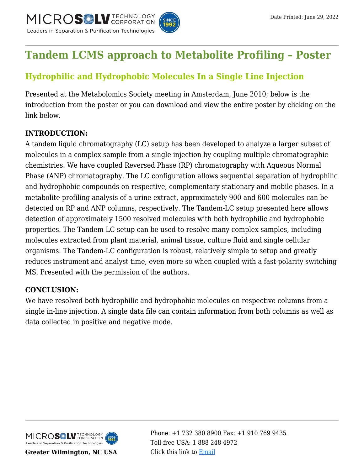

# **[Tandem LCMS approach to Metabolite Profiling – Poster](https://kb.mtc-usa.com/article/aa-01208/46/)**

# **Hydrophilic and Hydrophobic Molecules In a Single Line Injection**

Presented at the Metabolomics Society meeting in Amsterdam, June 2010; below is the introduction from the poster or you can download and view the entire poster by clicking on the link below.

## **INTRODUCTION:**

A tandem liquid chromatography (LC) setup has been developed to analyze a larger subset of molecules in a complex sample from a single injection by coupling multiple chromatographic chemistries. We have coupled Reversed Phase (RP) chromatography with Aqueous Normal Phase (ANP) chromatography. The LC configuration allows sequential separation of hydrophilic and hydrophobic compounds on respective, complementary stationary and mobile phases. In a metabolite profiling analysis of a urine extract, approximately 900 and 600 molecules can be detected on RP and ANP columns, respectively. The Tandem-LC setup presented here allows detection of approximately 1500 resolved molecules with both hydrophilic and hydrophobic properties. The Tandem-LC setup can be used to resolve many complex samples, including molecules extracted from plant material, animal tissue, culture fluid and single cellular organisms. The Tandem-LC configuration is robust, relatively simple to setup and greatly reduces instrument and analyst time, even more so when coupled with a fast-polarity switching MS. Presented with the permission of the authors.

## **CONCLUSION:**

We have resolved both hydrophilic and hydrophobic molecules on respective columns from a single in-line injection. A single data file can contain information from both columns as well as data collected in positive and negative mode.



**Greater Wilmington, NC USA**

Phone:  $\pm$ 1 732 380 8900 Fax:  $\pm$ 1 910 769 9435 Toll-free USA: [1 888 248 4972](#page--1-0) Click this link to [Email](https://www.mtc-usa.com/contact)